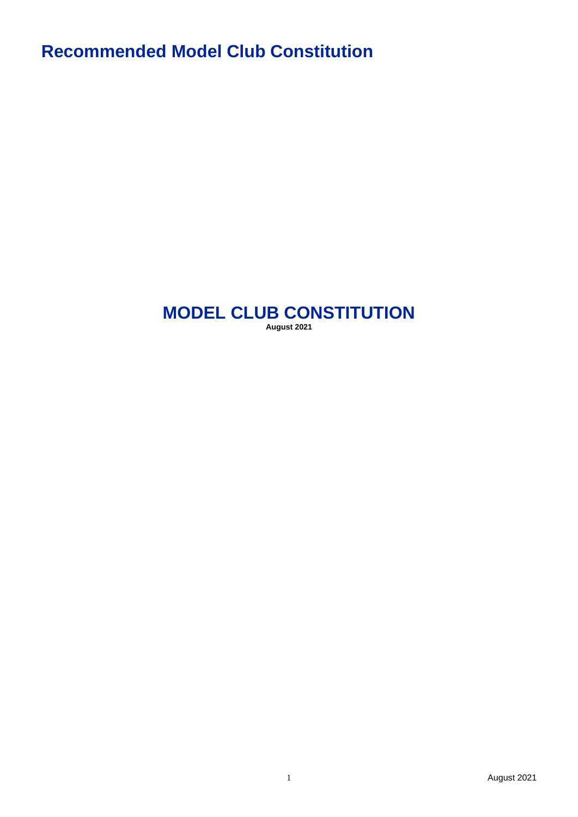**Recommended Model Club Constitution**

# **MODEL CLUB CONSTITUTION August 2021**

1 August 2021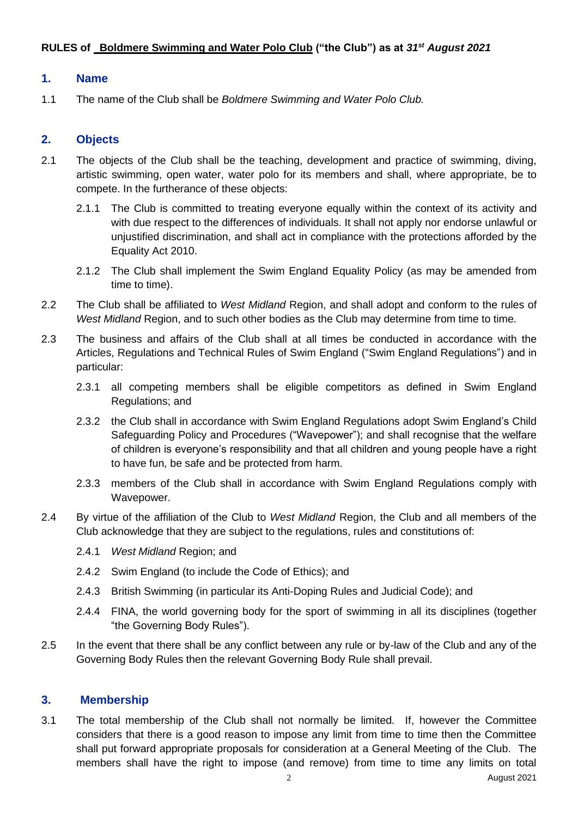## **RULES of Boldmere Swimming and Water Polo Club ("the Club") as at** *31st August 2021*

#### **1. Name**

1.1 The name of the Club shall be *Boldmere Swimming and Water Polo Club.*

## **2. Objects**

- 2.1 The objects of the Club shall be the teaching, development and practice of swimming, diving, artistic swimming, open water, water polo for its members and shall, where appropriate, be to compete. In the furtherance of these objects:
	- 2.1.1 The Club is committed to treating everyone equally within the context of its activity and with due respect to the differences of individuals. It shall not apply nor endorse unlawful or unjustified discrimination, and shall act in compliance with the protections afforded by the Equality Act 2010.
	- 2.1.2 The Club shall implement the Swim England Equality Policy (as may be amended from time to time).
- 2.2 The Club shall be affiliated to *West Midland* Region, and shall adopt and conform to the rules of *West Midland* Region, and to such other bodies as the Club may determine from time to time.
- 2.3 The business and affairs of the Club shall at all times be conducted in accordance with the Articles, Regulations and Technical Rules of Swim England ("Swim England Regulations") and in particular:
	- 2.3.1 all competing members shall be eligible competitors as defined in Swim England Regulations; and
	- 2.3.2 the Club shall in accordance with Swim England Regulations adopt Swim England's Child Safeguarding Policy and Procedures ("Wavepower"); and shall recognise that the welfare of children is everyone's responsibility and that all children and young people have a right to have fun, be safe and be protected from harm.
	- 2.3.3 members of the Club shall in accordance with Swim England Regulations comply with Wavepower.
- 2.4 By virtue of the affiliation of the Club to *West Midland* Region, the Club and all members of the Club acknowledge that they are subject to the regulations, rules and constitutions of:
	- 2.4.1 *West Midland* Region; and
	- 2.4.2 Swim England (to include the Code of Ethics); and
	- 2.4.3 British Swimming (in particular its Anti-Doping Rules and Judicial Code); and
	- 2.4.4 FINA, the world governing body for the sport of swimming in all its disciplines (together "the Governing Body Rules").
- 2.5 In the event that there shall be any conflict between any rule or by-law of the Club and any of the Governing Body Rules then the relevant Governing Body Rule shall prevail.

#### **3. Membership**

3.1 The total membership of the Club shall not normally be limited. If, however the Committee considers that there is a good reason to impose any limit from time to time then the Committee shall put forward appropriate proposals for consideration at a General Meeting of the Club. The members shall have the right to impose (and remove) from time to time any limits on total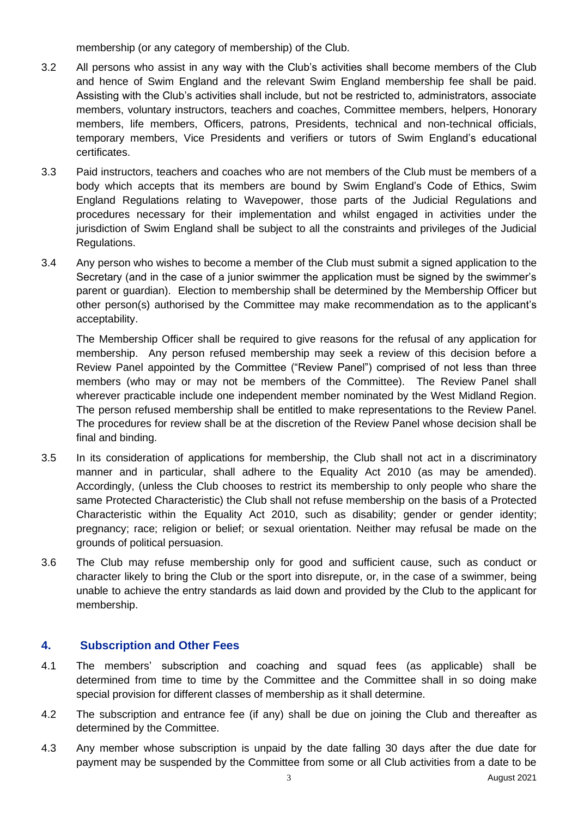membership (or any category of membership) of the Club.

- 3.2 All persons who assist in any way with the Club's activities shall become members of the Club and hence of Swim England and the relevant Swim England membership fee shall be paid. Assisting with the Club's activities shall include, but not be restricted to, administrators, associate members, voluntary instructors, teachers and coaches, Committee members, helpers, Honorary members, life members, Officers, patrons, Presidents, technical and non-technical officials, temporary members, Vice Presidents and verifiers or tutors of Swim England's educational certificates.
- 3.3 Paid instructors, teachers and coaches who are not members of the Club must be members of a body which accepts that its members are bound by Swim England's Code of Ethics, Swim England Regulations relating to Wavepower, those parts of the Judicial Regulations and procedures necessary for their implementation and whilst engaged in activities under the jurisdiction of Swim England shall be subject to all the constraints and privileges of the Judicial Regulations.
- 3.4 Any person who wishes to become a member of the Club must submit a signed application to the Secretary (and in the case of a junior swimmer the application must be signed by the swimmer's parent or guardian). Election to membership shall be determined by the Membership Officer but other person(s) authorised by the Committee may make recommendation as to the applicant's acceptability.

The Membership Officer shall be required to give reasons for the refusal of any application for membership. Any person refused membership may seek a review of this decision before a Review Panel appointed by the Committee ("Review Panel") comprised of not less than three members (who may or may not be members of the Committee). The Review Panel shall wherever practicable include one independent member nominated by the West Midland Region. The person refused membership shall be entitled to make representations to the Review Panel. The procedures for review shall be at the discretion of the Review Panel whose decision shall be final and binding.

- 3.5 In its consideration of applications for membership, the Club shall not act in a discriminatory manner and in particular, shall adhere to the Equality Act 2010 (as may be amended). Accordingly, (unless the Club chooses to restrict its membership to only people who share the same Protected Characteristic) the Club shall not refuse membership on the basis of a Protected Characteristic within the Equality Act 2010, such as disability; gender or gender identity; pregnancy; race; religion or belief; or sexual orientation. Neither may refusal be made on the grounds of political persuasion.
- 3.6 The Club may refuse membership only for good and sufficient cause, such as conduct or character likely to bring the Club or the sport into disrepute, or, in the case of a swimmer, being unable to achieve the entry standards as laid down and provided by the Club to the applicant for membership.

## **4. Subscription and Other Fees**

- 4.1 The members' subscription and coaching and squad fees (as applicable) shall be determined from time to time by the Committee and the Committee shall in so doing make special provision for different classes of membership as it shall determine.
- 4.2 The subscription and entrance fee (if any) shall be due on joining the Club and thereafter as determined by the Committee.
- 4.3 Any member whose subscription is unpaid by the date falling 30 days after the due date for payment may be suspended by the Committee from some or all Club activities from a date to be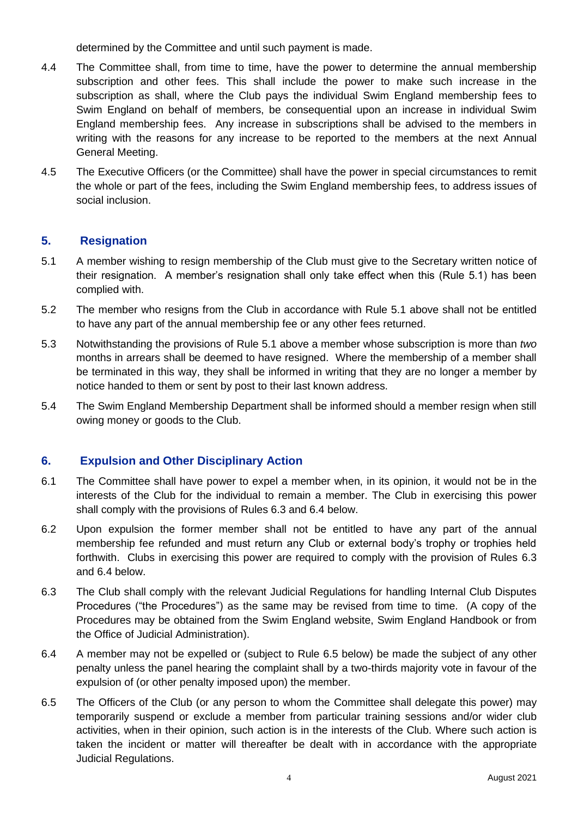determined by the Committee and until such payment is made.

- 4.4 The Committee shall, from time to time, have the power to determine the annual membership subscription and other fees. This shall include the power to make such increase in the subscription as shall, where the Club pays the individual Swim England membership fees to Swim England on behalf of members, be consequential upon an increase in individual Swim England membership fees. Any increase in subscriptions shall be advised to the members in writing with the reasons for any increase to be reported to the members at the next Annual General Meeting.
- 4.5 The Executive Officers (or the Committee) shall have the power in special circumstances to remit the whole or part of the fees, including the Swim England membership fees, to address issues of social inclusion.

## **5. Resignation**

- 5.1 A member wishing to resign membership of the Club must give to the Secretary written notice of their resignation. A member's resignation shall only take effect when this (Rule 5.1) has been complied with.
- 5.2 The member who resigns from the Club in accordance with Rule 5.1 above shall not be entitled to have any part of the annual membership fee or any other fees returned.
- 5.3 Notwithstanding the provisions of Rule 5.1 above a member whose subscription is more than *two* months in arrears shall be deemed to have resigned. Where the membership of a member shall be terminated in this way, they shall be informed in writing that they are no longer a member by notice handed to them or sent by post to their last known address.
- 5.4 The Swim England Membership Department shall be informed should a member resign when still owing money or goods to the Club.

## **6. Expulsion and Other Disciplinary Action**

- 6.1 The Committee shall have power to expel a member when, in its opinion, it would not be in the interests of the Club for the individual to remain a member. The Club in exercising this power shall comply with the provisions of Rules 6.3 and 6.4 below.
- 6.2 Upon expulsion the former member shall not be entitled to have any part of the annual membership fee refunded and must return any Club or external body's trophy or trophies held forthwith. Clubs in exercising this power are required to comply with the provision of Rules 6.3 and 6.4 below.
- 6.3 The Club shall comply with the relevant Judicial Regulations for handling Internal Club Disputes Procedures ("the Procedures") as the same may be revised from time to time. (A copy of the Procedures may be obtained from the Swim England website, Swim England Handbook or from the Office of Judicial Administration).
- 6.4 A member may not be expelled or (subject to Rule 6.5 below) be made the subject of any other penalty unless the panel hearing the complaint shall by a two-thirds majority vote in favour of the expulsion of (or other penalty imposed upon) the member.
- 6.5 The Officers of the Club (or any person to whom the Committee shall delegate this power) may temporarily suspend or exclude a member from particular training sessions and/or wider club activities, when in their opinion, such action is in the interests of the Club. Where such action is taken the incident or matter will thereafter be dealt with in accordance with the appropriate Judicial Regulations.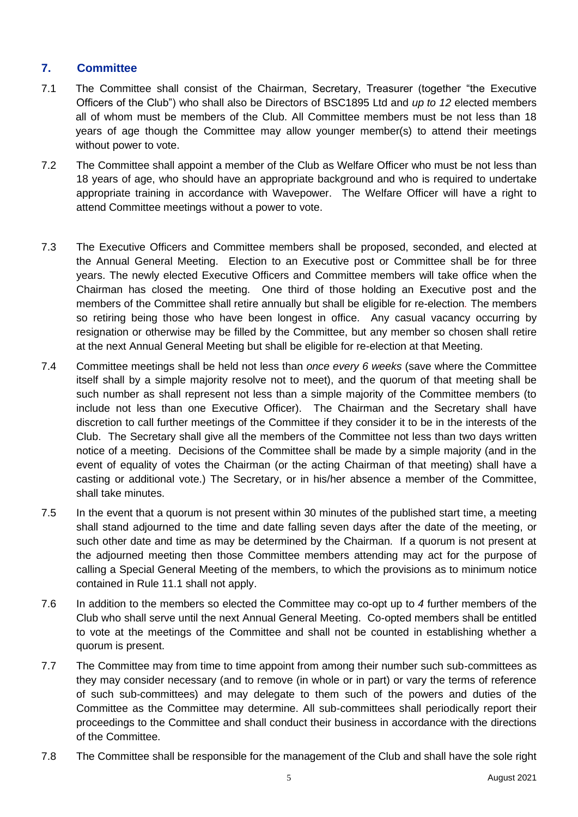## **7. Committee**

- 7.1 The Committee shall consist of the Chairman, Secretary, Treasurer (together "the Executive Officers of the Club") who shall also be Directors of BSC1895 Ltd and *up to 12* elected members all of whom must be members of the Club. All Committee members must be not less than 18 years of age though the Committee may allow younger member(s) to attend their meetings without power to vote.
- 7.2 The Committee shall appoint a member of the Club as Welfare Officer who must be not less than 18 years of age, who should have an appropriate background and who is required to undertake appropriate training in accordance with Wavepower. The Welfare Officer will have a right to attend Committee meetings without a power to vote.
- 7.3 The Executive Officers and Committee members shall be proposed, seconded, and elected at the Annual General Meeting. Election to an Executive post or Committee shall be for three years. The newly elected Executive Officers and Committee members will take office when the Chairman has closed the meeting. One third of those holding an Executive post and the members of the Committee shall retire annually but shall be eligible for re-election*.* The members so retiring being those who have been longest in office. Any casual vacancy occurring by resignation or otherwise may be filled by the Committee, but any member so chosen shall retire at the next Annual General Meeting but shall be eligible for re-election at that Meeting.
- 7.4 Committee meetings shall be held not less than *once every 6 weeks* (save where the Committee itself shall by a simple majority resolve not to meet), and the quorum of that meeting shall be such number as shall represent not less than a simple majority of the Committee members (to include not less than one Executive Officer). The Chairman and the Secretary shall have discretion to call further meetings of the Committee if they consider it to be in the interests of the Club. The Secretary shall give all the members of the Committee not less than two days written notice of a meeting. Decisions of the Committee shall be made by a simple majority (and in the event of equality of votes the Chairman (or the acting Chairman of that meeting) shall have a casting or additional vote.) The Secretary, or in his/her absence a member of the Committee, shall take minutes.
- 7.5 In the event that a quorum is not present within 30 minutes of the published start time, a meeting shall stand adjourned to the time and date falling seven days after the date of the meeting, or such other date and time as may be determined by the Chairman. If a quorum is not present at the adjourned meeting then those Committee members attending may act for the purpose of calling a Special General Meeting of the members, to which the provisions as to minimum notice contained in Rule 11.1 shall not apply.
- 7.6 In addition to the members so elected the Committee may co-opt up to *4* further members of the Club who shall serve until the next Annual General Meeting. Co-opted members shall be entitled to vote at the meetings of the Committee and shall not be counted in establishing whether a quorum is present.
- 7.7 The Committee may from time to time appoint from among their number such sub-committees as they may consider necessary (and to remove (in whole or in part) or vary the terms of reference of such sub-committees) and may delegate to them such of the powers and duties of the Committee as the Committee may determine. All sub-committees shall periodically report their proceedings to the Committee and shall conduct their business in accordance with the directions of the Committee.
- 7.8 The Committee shall be responsible for the management of the Club and shall have the sole right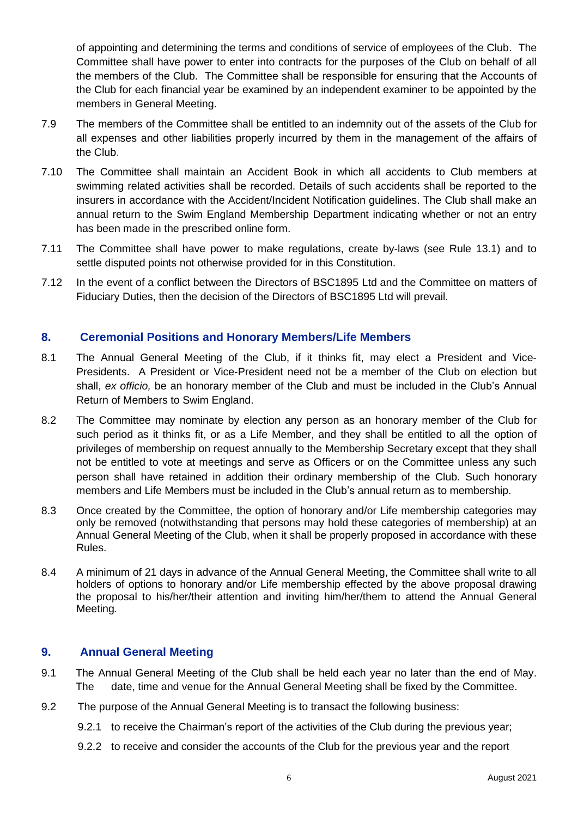of appointing and determining the terms and conditions of service of employees of the Club. The Committee shall have power to enter into contracts for the purposes of the Club on behalf of all the members of the Club. The Committee shall be responsible for ensuring that the Accounts of the Club for each financial year be examined by an independent examiner to be appointed by the members in General Meeting.

- 7.9 The members of the Committee shall be entitled to an indemnity out of the assets of the Club for all expenses and other liabilities properly incurred by them in the management of the affairs of the Club.
- 7.10 The Committee shall maintain an Accident Book in which all accidents to Club members at swimming related activities shall be recorded. Details of such accidents shall be reported to the insurers in accordance with the Accident/Incident Notification guidelines. The Club shall make an annual return to the Swim England Membership Department indicating whether or not an entry has been made in the prescribed online form.
- 7.11 The Committee shall have power to make regulations, create by-laws (see Rule 13.1) and to settle disputed points not otherwise provided for in this Constitution.
- 7.12 In the event of a conflict between the Directors of BSC1895 Ltd and the Committee on matters of Fiduciary Duties, then the decision of the Directors of BSC1895 Ltd will prevail.

### **8. Ceremonial Positions and Honorary Members/Life Members**

- 8.1 The Annual General Meeting of the Club, if it thinks fit, may elect a President and Vice-Presidents. A President or Vice-President need not be a member of the Club on election but shall, *ex officio,* be an honorary member of the Club and must be included in the Club's Annual Return of Members to Swim England.
- 8.2 The Committee may nominate by election any person as an honorary member of the Club for such period as it thinks fit, or as a Life Member, and they shall be entitled to all the option of privileges of membership on request annually to the Membership Secretary except that they shall not be entitled to vote at meetings and serve as Officers or on the Committee unless any such person shall have retained in addition their ordinary membership of the Club. Such honorary members and Life Members must be included in the Club's annual return as to membership.
- 8.3 Once created by the Committee, the option of honorary and/or Life membership categories may only be removed (notwithstanding that persons may hold these categories of membership) at an Annual General Meeting of the Club, when it shall be properly proposed in accordance with these Rules.
- 8.4 A minimum of 21 days in advance of the Annual General Meeting, the Committee shall write to all holders of options to honorary and/or Life membership effected by the above proposal drawing the proposal to his/her/their attention and inviting him/her/them to attend the Annual General Meeting*.*

#### **9. Annual General Meeting**

- 9.1 The Annual General Meeting of the Club shall be held each year no later than the end of May. The date, time and venue for the Annual General Meeting shall be fixed by the Committee.
- 9.2 The purpose of the Annual General Meeting is to transact the following business:
	- 9.2.1 to receive the Chairman's report of the activities of the Club during the previous year;
	- 9.2.2 to receive and consider the accounts of the Club for the previous year and the report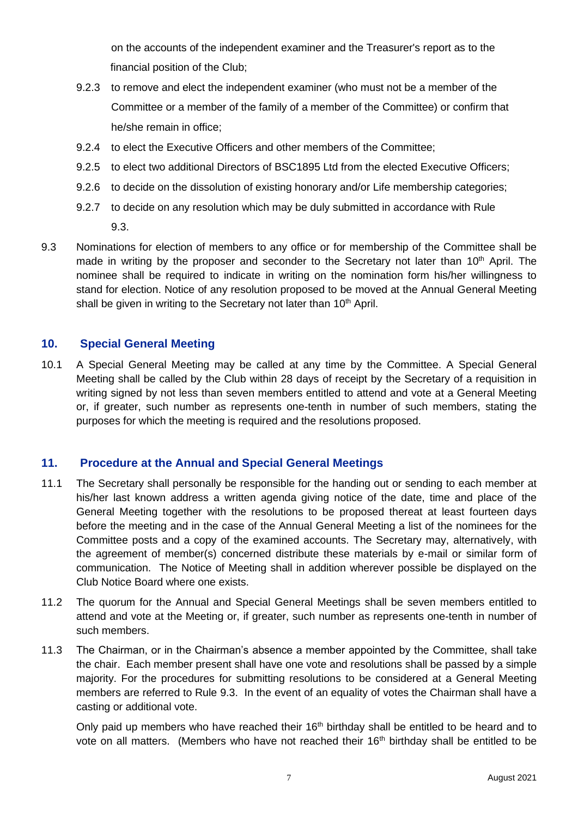on the accounts of the independent examiner and the Treasurer's report as to the financial position of the Club;

- 9.2.3 to remove and elect the independent examiner (who must not be a member of the Committee or a member of the family of a member of the Committee) or confirm that he/she remain in office;
- 9.2.4 to elect the Executive Officers and other members of the Committee;
- 9.2.5 to elect two additional Directors of BSC1895 Ltd from the elected Executive Officers;
- 9.2.6 to decide on the dissolution of existing honorary and/or Life membership categories;
- 9.2.7 to decide on any resolution which may be duly submitted in accordance with Rule 9.3.
- 9.3 Nominations for election of members to any office or for membership of the Committee shall be made in writing by the proposer and seconder to the Secretary not later than  $10<sup>th</sup>$  April. The nominee shall be required to indicate in writing on the nomination form his/her willingness to stand for election. Notice of any resolution proposed to be moved at the Annual General Meeting shall be given in writing to the Secretary not later than 10<sup>th</sup> April.

## **10. Special General Meeting**

10.1 A Special General Meeting may be called at any time by the Committee. A Special General Meeting shall be called by the Club within 28 days of receipt by the Secretary of a requisition in writing signed by not less than seven members entitled to attend and vote at a General Meeting or, if greater, such number as represents one-tenth in number of such members, stating the purposes for which the meeting is required and the resolutions proposed.

## **11. Procedure at the Annual and Special General Meetings**

- 11.1 The Secretary shall personally be responsible for the handing out or sending to each member at his/her last known address a written agenda giving notice of the date, time and place of the General Meeting together with the resolutions to be proposed thereat at least fourteen days before the meeting and in the case of the Annual General Meeting a list of the nominees for the Committee posts and a copy of the examined accounts. The Secretary may, alternatively, with the agreement of member(s) concerned distribute these materials by e-mail or similar form of communication. The Notice of Meeting shall in addition wherever possible be displayed on the Club Notice Board where one exists.
- 11.2 The quorum for the Annual and Special General Meetings shall be seven members entitled to attend and vote at the Meeting or, if greater, such number as represents one-tenth in number of such members.
- 11.3 The Chairman, or in the Chairman's absence a member appointed by the Committee, shall take the chair. Each member present shall have one vote and resolutions shall be passed by a simple majority. For the procedures for submitting resolutions to be considered at a General Meeting members are referred to Rule 9.3. In the event of an equality of votes the Chairman shall have a casting or additional vote.

Only paid up members who have reached their 16<sup>th</sup> birthday shall be entitled to be heard and to vote on all matters. (Members who have not reached their 16<sup>th</sup> birthday shall be entitled to be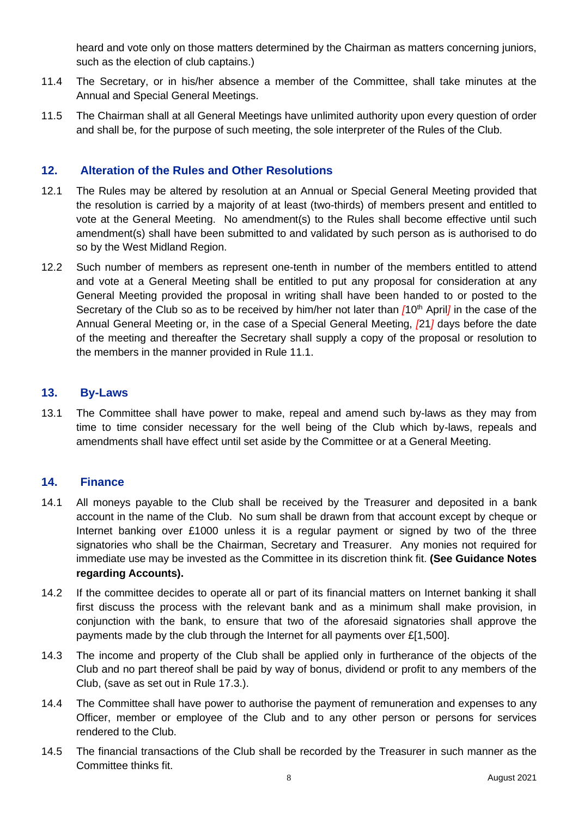heard and vote only on those matters determined by the Chairman as matters concerning juniors, such as the election of club captains.)

- 11.4 The Secretary, or in his/her absence a member of the Committee, shall take minutes at the Annual and Special General Meetings.
- 11.5 The Chairman shall at all General Meetings have unlimited authority upon every question of order and shall be, for the purpose of such meeting, the sole interpreter of the Rules of the Club.

## **12. Alteration of the Rules and Other Resolutions**

- 12.1 The Rules may be altered by resolution at an Annual or Special General Meeting provided that the resolution is carried by a majority of at least (two-thirds) of members present and entitled to vote at the General Meeting. No amendment(s) to the Rules shall become effective until such amendment(s) shall have been submitted to and validated by such person as is authorised to do so by the West Midland Region.
- 12.2 Such number of members as represent one-tenth in number of the members entitled to attend and vote at a General Meeting shall be entitled to put any proposal for consideration at any General Meeting provided the proposal in writing shall have been handed to or posted to the Secretary of the Club so as to be received by him/her not later than  $f10^{th}$  Aprill in the case of the Annual General Meeting or, in the case of a Special General Meeting, *[*21*]* days before the date of the meeting and thereafter the Secretary shall supply a copy of the proposal or resolution to the members in the manner provided in Rule 11.1.

## **13. By-Laws**

13.1 The Committee shall have power to make, repeal and amend such by-laws as they may from time to time consider necessary for the well being of the Club which by-laws, repeals and amendments shall have effect until set aside by the Committee or at a General Meeting.

## **14. Finance**

- 14.1 All moneys payable to the Club shall be received by the Treasurer and deposited in a bank account in the name of the Club. No sum shall be drawn from that account except by cheque or Internet banking over £1000 unless it is a regular payment or signed by two of the three signatories who shall be the Chairman, Secretary and Treasurer. Any monies not required for immediate use may be invested as the Committee in its discretion think fit. **(See Guidance Notes regarding Accounts).**
- 14.2 If the committee decides to operate all or part of its financial matters on Internet banking it shall first discuss the process with the relevant bank and as a minimum shall make provision, in conjunction with the bank, to ensure that two of the aforesaid signatories shall approve the payments made by the club through the Internet for all payments over £[1,500].
- 14.3 The income and property of the Club shall be applied only in furtherance of the objects of the Club and no part thereof shall be paid by way of bonus, dividend or profit to any members of the Club, (save as set out in Rule 17.3.).
- 14.4 The Committee shall have power to authorise the payment of remuneration and expenses to any Officer, member or employee of the Club and to any other person or persons for services rendered to the Club.
- 14.5 The financial transactions of the Club shall be recorded by the Treasurer in such manner as the Committee thinks fit.